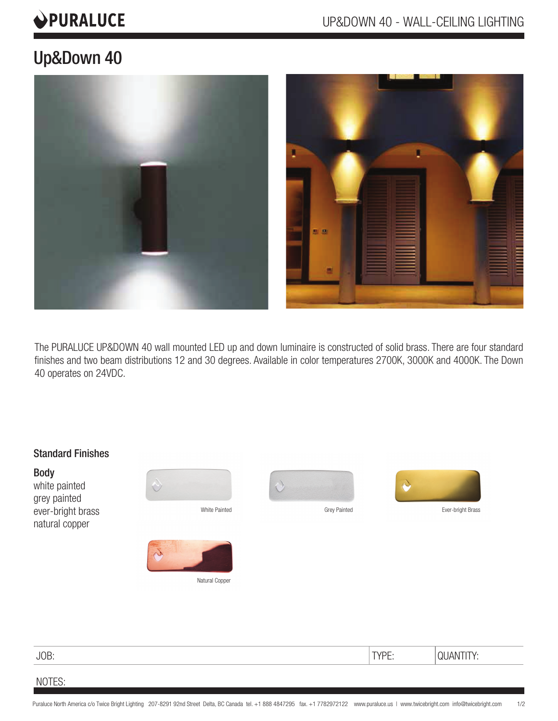# **OPURALUCE**

## Up&Down 40



The PURALUCE UP&DOWN 40 wall mounted LED up and down luminaire is constructed of solid brass. There are four standard finishes and two beam distributions 12 and 30 degrees. Available in color temperatures 2700K, 3000K and 4000K. The Down 40 operates on 24VDC.



## JOB: TYPE: QUANTITY:

### NOTES: